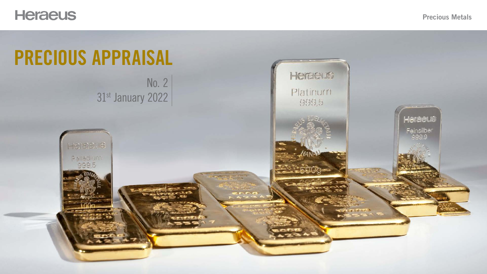

# PRECIOUS APPRAISAL No. 2

### Precious Metals



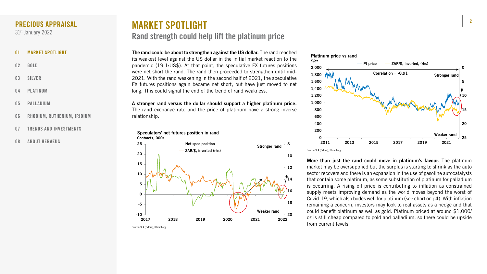The rand could be about to strengthen against the US dollar. The rand reached its weakest level against the US dollar in the initial market reaction to the pandemic (19.1:US\$). At that point, the speculative FX futures positions were net short the rand. The rand then proceeded to strengthen until mid-2021. With the rand weakening in the second half of 2021, the speculative FX futures positions again became net short, but have just moved to net long. This could signal the end of the trend of rand weakness.

A stronger rand versus the dollar should support a higher platinum price.

The rand exchange rate and the price of platinum have a strong inverse relationship.

> More than just the rand could move in platinum's favour. The platinum market may be oversupplied but the surplus is starting to shrink as the auto sector recovers and there is an expansion in the use of gasoline autocatalysts that contain some platinum, as some substitution of platinum for palladium is occurring. A rising oil price is contributing to inflation as constrained supply meets improving demand as the world moves beyond the worst of Covid-19, which also bodes well for platinum (see chart on p4). With inflation remaining a concern, investors may look to real assets as a hedge and that could benefit platinum as well as gold. Platinum priced at around \$1,000/ oz is still cheap compared to gold and palladium, so there could be upside from current levels.

- 01 MARKET SPOTLIGHT
- 02 [GOLD](#page-2-0)
- 03 [SILVER](#page-3-0)
- 04 [PLATINUM](#page-4-0)
- 05 [PALLADIUM](#page-5-0)
- 06 [RHODIUM, RUTHENIUM, IRIDIUM](#page-6-0)
- 07 [TRENDS AND INVESTMENTS](#page-7-0)
- 08 [ABOUT HERAEUS](#page-8-0)

### <span id="page-1-0"></span>PRECIOUS APPRAISAL

31<sup>st</sup> January 2022

## MARKET SPOTLIGHT Rand strength could help lift the platinum price



Source: SFA (Oxford), Bloomberg

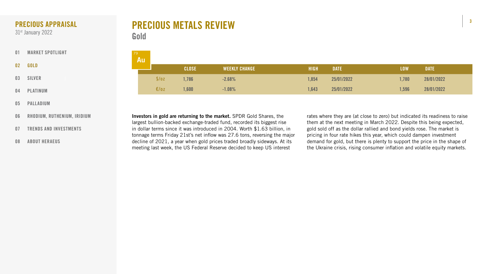





## PRECIOUS METALS REVIEW Gold

rates where they are (at close to zero) but indicated its readiness to raise them at the next meeting in March 2022. Despite this being expected, gold sold off as the dollar rallied and bond yields rose. The market is pricing in four rate hikes this year, which could dampen investment demand for gold, but there is plenty to support the price in the shape of the Ukraine crisis, rising consumer inflation and volatile equity markets.

| 79 | Au J  |              |                      |             |             |            |             |
|----|-------|--------------|----------------------|-------------|-------------|------------|-------------|
|    |       | <b>CLOSE</b> | <b>WEEKLY CHANGE</b> | <b>HIGH</b> | <b>DATE</b> | <b>LOW</b> | <b>DATE</b> |
|    | \$/oz | ,786         | $-2.68%$             | 1,854       | 25/01/2022  | 1,780      | 28/01/2022  |
|    | E/oz  | ,600         | $-1.08%$             | 1,643       | 25/01/2022  | 1,596      | 28/01/2022  |

Investors in gold are returning to the market. SPDR Gold Shares, the largest bullion-backed exchange-traded fund, recorded its biggest rise in dollar terms since it was introduced in 2004. Worth \$1.63 billion, in tonnage terms Friday 21st's net inflow was 27.6 tons, reversing the major decline of 2021, a year when gold prices traded broadly sideways. At its meeting last week, the US Federal Reserve decided to keep US interest

- [01](#page-1-0) [MARKET SPOTLIGHT](#page-1-0)
- 02 GOLD
- 03 [SILVER](#page-3-0)
- 04 [PLATINUM](#page-4-0)
- 05 [PALLADIUM](#page-5-0)
- 06 [RHODIUM, RUTHENIUM, IRIDIUM](#page-6-0)
- 07 [TRENDS AND INVESTMENTS](#page-7-0)
- 08 [ABOUT HERAEUS](#page-8-0)

### <span id="page-2-0"></span>PRECIOUS APPRAISAL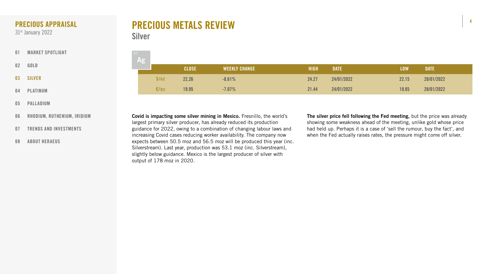





| 47 | Ag |       |              |                      |             |             |            |             |
|----|----|-------|--------------|----------------------|-------------|-------------|------------|-------------|
|    |    |       | <b>CLOSE</b> | <b>WEEKLY CHANGE</b> | <b>HIGH</b> | <b>DATE</b> | <b>LOW</b> | <b>DATE</b> |
|    |    | \$/oz | 22.26        | $-8.61%$             | 24.27       | 24/01/2022  | 22.15      | 28/01/2022  |
|    |    | E/OZ  | 19.95        | $-7.07\%$            | 21.44       | 24/01/2022  | 19.85      | 28/01/2022  |

## PRECIOUS METALS REVIEW Silver

The silver price fell following the Fed meeting, but the price was already showing some weakness ahead of the meeting, unlike gold whose price had held up. Perhaps it is a case of 'sell the rumour, buy the fact', and when the Fed actually raises rates, the pressure might come off silver.

Covid is impacting some silver mining in Mexico. Fresnillo, the world's largest primary silver producer, has already reduced its production guidance for 2022, owing to a combination of changing labour laws and increasing Covid cases reducing worker availability. The company now expects between 50.5 moz and 56.5 moz will be produced this year (inc. Silverstream). Last year, production was 53.1 moz (inc. Silverstream), slightly below guidance. Mexico is the largest producer of silver with output of 178 moz in 2020.

- [01](#page-1-0) [MARKET SPOTLIGHT](#page-1-0)
- 02 [GOLD](#page-2-0)
- 03 SILVER
- 04 [PLATINUM](#page-4-0)
- 05 [PALLADIUM](#page-5-0)
- 06 [RHODIUM, RUTHENIUM, IRIDIUM](#page-6-0)
- 07 [TRENDS AND INVESTMENTS](#page-7-0)
- 08 [ABOUT HERAEUS](#page-8-0)

### <span id="page-3-0"></span>PRECIOUS APPRAISAL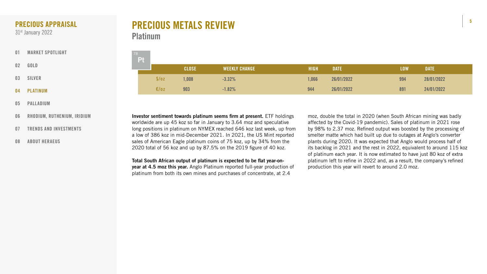





| 78 | <b>Pt</b> |       |              |                      |             |             |            |             |
|----|-----------|-------|--------------|----------------------|-------------|-------------|------------|-------------|
|    |           |       | <b>CLOSE</b> | <b>WEEKLY CHANGE</b> | <b>HIGH</b> | <b>DATE</b> | <b>LOW</b> | <b>DATE</b> |
|    |           | \$/oz | ,008         | $-3.32%$             | 1,066       | 26/01/2022  | 994        | 28/01/2022  |
|    |           | €/oz  | 903          | $-1.82%$             | 944         | 26/01/2022  | 891        | 24/01/2022  |

## PRECIOUS METALS REVIEW Platinum

moz, double the total in 2020 (when South African mining was badly affected by the Covid-19 pandemic). Sales of platinum in 2021 rose by 98% to 2.37 moz. Refined output was boosted by the processing of smelter matte which had built up due to outages at Anglo's converter plants during 2020. It was expected that Anglo would process half of its backlog in 2021 and the rest in 2022, equivalent to around 115 koz of platinum each year. It is now estimated to have just 80 koz of extra platinum left to refine in 2022 and, as a result, the company's refined production this year will revert to around 2.0 moz.

Investor sentiment towards platinum seems firm at present. ETF holdings worldwide are up 45 koz so far in January to 3.64 moz and speculative long positions in platinum on NYMEX reached 646 koz last week, up from a low of 386 koz in mid-December 2021. In 2021, the US Mint reported sales of American Eagle platinum coins of 75 koz, up by 34% from the 2020 total of 56 koz and up by 87.5% on the 2019 figure of 40 koz.

Total South African output of platinum is expected to be flat year-onyear at 4.5 moz this year. Anglo Platinum reported full-year production of platinum from both its own mines and purchases of concentrate, at 2.4

- [01](#page-1-0) [MARKET SPOTLIGHT](#page-1-0)
- 02 [GOLD](#page-2-0)
- 03 [SILVER](#page-3-0)
- 04 PLATINUM
- 05 [PALLADIUM](#page-5-0)
- 06 [RHODIUM, RUTHENIUM, IRIDIUM](#page-6-0)
- 07 [TRENDS AND INVESTMENTS](#page-7-0)
- 08 [ABOUT HERAEUS](#page-8-0)

### <span id="page-4-0"></span>PRECIOUS APPRAISAL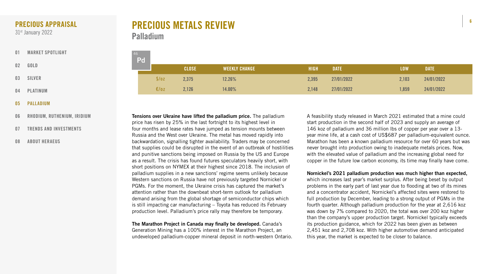





| 46 | Pd |       |              |                      |             |             |            |             |
|----|----|-------|--------------|----------------------|-------------|-------------|------------|-------------|
|    |    |       | <b>CLOSE</b> | <b>WEEKLY CHANGE</b> | <b>HIGH</b> | <b>DATE</b> | <b>LOW</b> | <b>DATE</b> |
|    |    | \$/oz | 2,375        | 12.26%               | 2,395       | 27/01/2022  | 2,103      | 24/01/2022  |
|    |    | E/oz  | 2,126        | 14.00%               | 2,148       | 27/01/2022  | 1,859      | 24/01/2022  |

A feasibility study released in March 2021 estimated that a mine could start production in the second half of 2023 and supply an average of 146 koz of palladium and 36 million lbs of copper per year over a 13 year mine life, at a cash cost of US\$687 per palladium-equivalent ounce. Marathon has been a known palladium resource for over 60 years but was never brought into production owing to inadequate metals prices. Now, with the elevated value of palladium and the increasing global need for copper in the future low carbon economy, its time may finally have come.

#### Nornickel's 2021 palladium production was much higher than expected,

which increases last year's market surplus. After being beset by output problems in the early part of last year due to flooding at two of its mines and a concentrator accident, Nornickel's affected sites were restored to full production by December, leading to a strong output of PGMs in the fourth quarter. Although palladium production for the year at 2,616 koz was down by 7% compared to 2020, the total was over 200 koz higher than the company's upper production target. Nornickel typically exceeds its production guidance, which for 2022 has been given as between 2,451 koz and 2,708 koz. With higher automotive demand anticipated this year, the market is expected to be closer to balance.

Tensions over Ukraine have lifted the palladium price. The palladium price has risen by 25% in the last fortnight to its highest level in four months and lease rates have jumped as tension mounts between Russia and the West over Ukraine. The metal has moved rapidly into backwardation, signalling tighter availability. Traders may be concerned that supplies could be disrupted in the event of an outbreak of hostilities and punitive sanctions being imposed on Russia by the US and Europe as a result. The crisis has found futures speculators heavily short, with short positions on NYMEX at their highest since 2018. The inclusion of palladium supplies in a new sanctions' regime seems unlikely because Western sanctions on Russia have not previously targeted Nornickel or PGMs. For the moment, the Ukraine crisis has captured the market's attention rather than the downbeat short-term outlook for palladium demand arising from the global shortage of semiconductor chips which is still impacting car manufacturing – Toyota has reduced its February production level. Palladium's price rally may therefore be temporary.

The Marathon Project in Canada may finally be developed. Canada's Generation Mining has a 100% interest in the Marathon Project, an undeveloped palladium-copper mineral deposit in north-western Ontario.

## PRECIOUS METALS REVIEW Palladium

- [01](#page-1-0) [MARKET SPOTLIGHT](#page-1-0)
- 02 [GOLD](#page-2-0)
- 03 [SILVER](#page-3-0)
- 04 [PLATINUM](#page-4-0)
- 05 PALLADIUM
- 06 [RHODIUM, RUTHENIUM, IRIDIUM](#page-6-0)
- 07 [TRENDS AND INVESTMENTS](#page-7-0)
- 08 [ABOUT HERAEUS](#page-8-0)

### <span id="page-5-0"></span>PRECIOUS APPRAISAL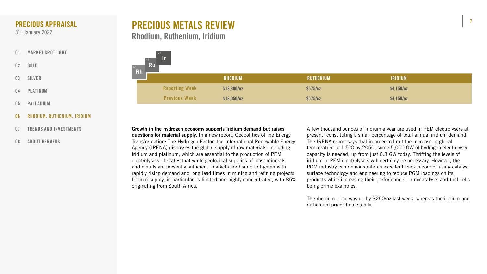

| <b>RHODIUM</b> | RUTHENIUM | <b>IRIDIUM</b> |
|----------------|-----------|----------------|
| $$18,300$ /oz  | \$575/oz  | $$4,150$ /oz   |
| $$18,050$ /oz  | \$575/oz  | $$4,150$ /oz   |

## PRECIOUS METALS REVIEW Rhodium, Ruthenium, Iridium

A few thousand ounces of iridium a year are used in PEM electrolysers at present, constituting a small percentage of total annual iridium demand. The IRENA report says that in order to limit the increase in global temperature to 1.5°C by 2050, some 5,000 GW of hydrogen electrolyser capacity is needed, up from just 0.3 GW today. Thrifting the levels of iridium in PEM electrolysers will certainly be necessary. However, the PGM industry can demonstrate an excellent track record of using catalyst surface technology and engineering to reduce PGM loadings on its products while increasing their performance – autocatalysts and fuel cells being prime examples.

The rhodium price was up by \$250/oz last week, whereas the iridium and ruthenium prices held steady.





Growth in the hydrogen economy supports iridium demand but raises questions for material supply. In a new report, Geopolitics of the Energy Transformation: The Hydrogen Factor, the International Renewable Energy Agency (IRENA) discusses the global supply of raw materials, including iridium and platinum, which are essential to the production of PEM electrolysers. It states that while geological supplies of most minerals and metals are presently sufficient, markets are bound to tighten with rapidly rising demand and long lead times in mining and refining projects. Iridium supply, in particular, is limited and highly concentrated, with 85% originating from South Africa.

- [01](#page-1-0) [MARKET SPOTLIGHT](#page-1-0)
- 02 [GOLD](#page-2-0)
- 03 [SILVER](#page-3-0)
- 04 [PLATINUM](#page-4-0)
- 05 [PALLADIUM](#page-5-0)
- 06 RHODIUM, RUTHENIUM, IRIDIUM
- 07 [TRENDS AND INVESTMENTS](#page-7-0)
- 08 [ABOUT HERAEUS](#page-8-0)

### <span id="page-6-0"></span>PRECIOUS APPRAISAL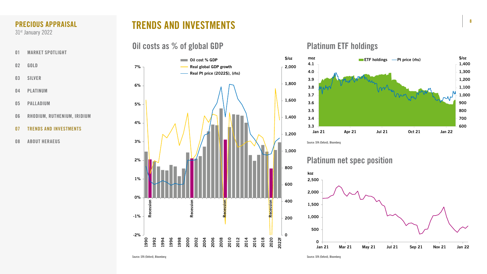## TRENDS AND INVESTMENTS



600 700 800 900 1,000 1,100 1,200 1,300 1,400



### Platinum net spec position

## Platinum ETF holdings

Source: SFA (Oxford), Bloomberg

Source: SFA (Oxford), Bloomberg

Source: SFA (Oxford), Bloomberg

### Oil costs as % of global GDP



- [01](#page-1-0) [MARKET SPOTLIGHT](#page-1-0)
- 02 [GOLD](#page-2-0)
- 03 [SILVER](#page-3-0)
- 04 [PLATINUM](#page-4-0)
- 05 [PALLADIUM](#page-5-0)
- 06 [RHODIUM, RUTHENIUM, IRIDIUM](#page-6-0)
- 07 TRENDS AND INVESTMENTS
- 08 [ABOUT HERAEUS](#page-8-0)

### <span id="page-7-0"></span>PRECIOUS APPRAISAL

31st January 2022